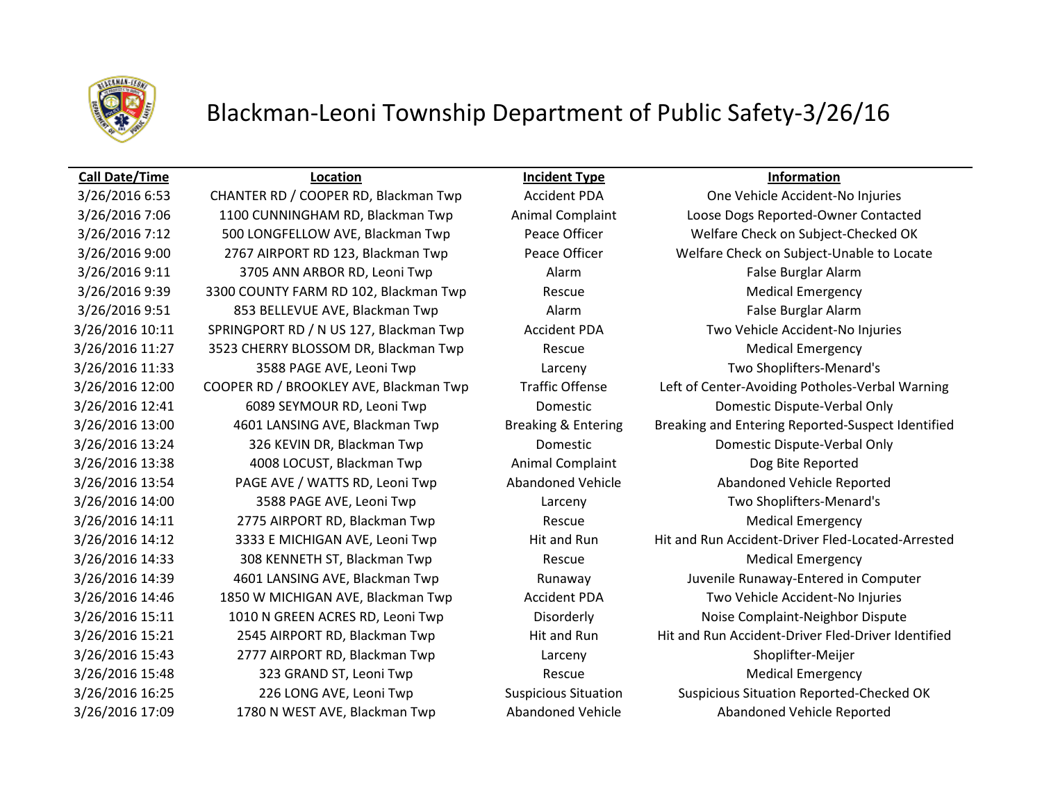

## Blackman-Leoni Township Department of Public Safety-3/26/16

### **Call Date/Time Location Incident Type Information**

3/26/2016 9:11 3705 ANN ARBOR RD, Leoni Twp Alarm Alarm False Burglar Alarm 3/26/2016 9:39 3300 COUNTY FARM RD 102, Blackman Twp Rescue Medical Emergency 3/26/2016 9:51 853 BELLEVUE AVE, Blackman Twp Alarm Alarm False Burglar Alarm 3/26/2016 10:11 SPRINGPORT RD / N US 127, Blackman Twp Accident PDA Two Vehicle Accident-No Injuries 3/26/2016 11:27 3523 CHERRY BLOSSOM DR, Blackman Twp Rescue Rescue Medical Emergency 3/26/2016 11:33 3588 PAGE AVE, Leoni Twp Larceny Two Shoplifters-Menard's 3/26/2016 12:41 6089 SEYMOUR RD, Leoni Twp Domestic Domestic Dispute-Verbal Only 3/26/2016 13:24 326 KEVIN DR, Blackman Twp Domestic Domestic Dispute-Verbal Only 3/26/2016 13:38 4008 LOCUST, Blackman Twp Animal Complaint Dog Bite Reported 3/26/2016 13:54 PAGE AVE / WATTS RD, Leoni Twp Abandoned Vehicle Abandoned Vehicle Reported 3/26/2016 14:00 3588 PAGE AVE, Leoni Twp Larceny Two Shoplifters-Menard's 3/26/2016 14:11 2775 AIRPORT RD, Blackman Twp Rescue Medical Emergency 3/26/2016 14:33 308 KENNETH ST, Blackman Twp Rescue Medical Emergency 3/26/2016 14:46 1850 W MICHIGAN AVE, Blackman Twp Accident PDA Two Vehicle Accident-No Injuries 3/26/2016 15:11 1010 N GREEN ACRES RD, Leoni Twp Disorderly Noise Complaint-Neighbor Dispute 3/26/2016 15:43 2777 AIRPORT RD, Blackman Twp Larceny Shoplifter-Meijer 3/26/2016 15:48 323 GRAND ST, Leoni Twp Rescue Rescue Medical Emergency 3/26/2016 17:09 1780 N WEST AVE, Blackman Twp Abandoned Vehicle Abandoned Vehicle Reported

3/26/2016 6:53 CHANTER RD / COOPER RD, Blackman Twp Accident PDA One Vehicle Accident-No Injuries 3/26/2016 7:06 1100 CUNNINGHAM RD, Blackman Twp Animal Complaint Loose Dogs Reported-Owner Contacted 3/26/2016 7:12 500 LONGFELLOW AVE, Blackman Twp Peace Officer Welfare Check on Subject-Checked OK 3/26/2016 9:00 2767 AIRPORT RD 123, Blackman Twp Peace Officer Welfare Check on Subject-Unable to Locate 3/26/2016 12:00 COOPER RD / BROOKLEY AVE, Blackman Twp Traffic Offense Left of Center-Avoiding Potholes-Verbal Warning 3/26/2016 13:00 4601 LANSING AVE, Blackman Twp Breaking & Entering Breaking and Entering Reported-Suspect Identified 3/26/2016 14:12 3333 E MICHIGAN AVE, Leoni Twp Hit and Run Hit and Run Accident-Driver Fled-Located-Arrested 3/26/2016 14:39 4601 LANSING AVE, Blackman Twp Runaway Juvenile Runaway-Entered in Computer 3/26/2016 15:21 2545 AIRPORT RD, Blackman Twp Hit and Run Hit and Run Hit and Run Accident-Driver Fled-Driver Identified 3/26/2016 16:25 226 LONG AVE, Leoni Twp Suspicious Situation Suspicious Situation Reported-Checked OK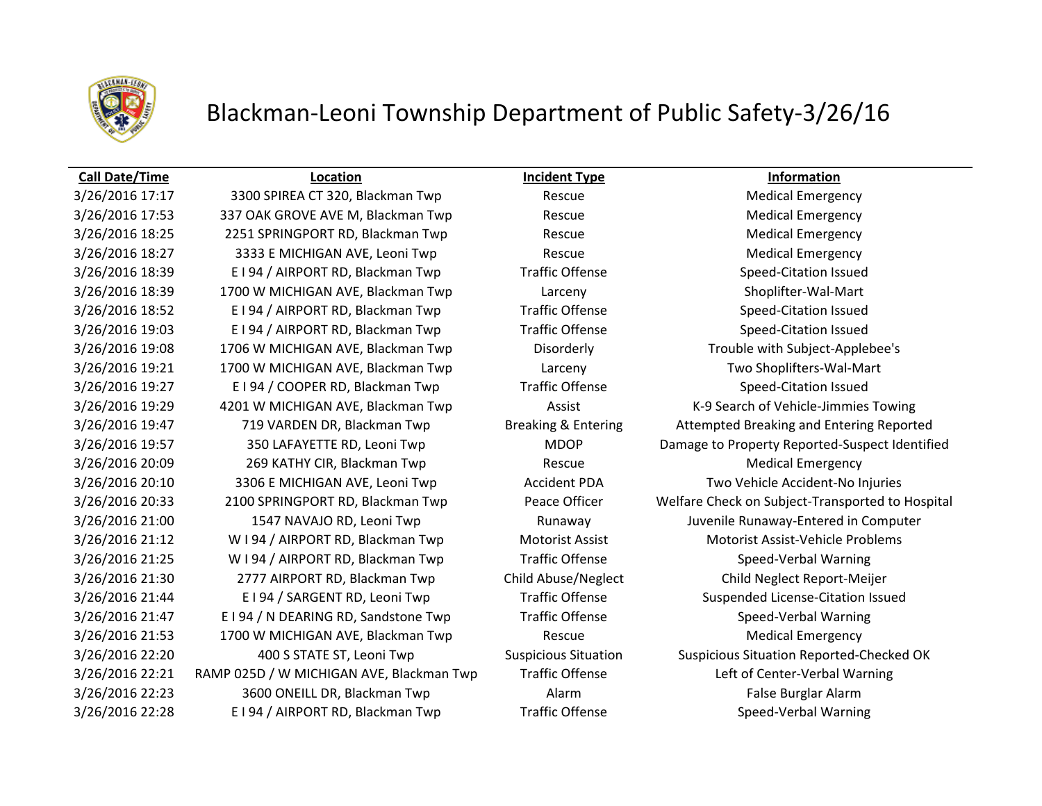

## Blackman-Leoni Township Department of Public Safety-3/26/16

### **Call Date/Time Location Incident Type Information**

3/26/2016 17:17 3300 SPIREA CT 320, Blackman Twp Rescue Rescue Medical Emergency 3/26/2016 17:53 337 OAK GROVE AVE M, Blackman Twp Rescue Rescue Medical Emergency 3/26/2016 18:25 2251 SPRINGPORT RD, Blackman Twp Rescue Medical Emergency 3/26/2016 18:27 3333 E MICHIGAN AVE, Leoni Twp Rescue Medical Emergency 3/26/2016 18:39 E I 94 / AIRPORT RD, Blackman Twp Traffic Offense Speed-Citation Issued 3/26/2016 18:39 1700 W MICHIGAN AVE, Blackman Twp Larceny Shoplifter-Wal-Mart 3/26/2016 18:52 E I 94 / AIRPORT RD, Blackman Twp Traffic Offense Speed-Citation Issued 3/26/2016 19:03 E I 94 / AIRPORT RD, Blackman Twp Traffic Offense Speed-Citation Issued 3/26/2016 19:08 1706 W MICHIGAN AVE, Blackman Twp Disorderly Trouble with Subject-Applebee's 3/26/2016 19:21 1700 W MICHIGAN AVE, Blackman Twp Larceny Two Shoplifters-Wal-Mart 3/26/2016 19:27 E I 94 / COOPER RD, Blackman Twp Traffic Offense Speed-Citation Issued 3/26/2016 19:29 4201 W MICHIGAN AVE, Blackman Twp **Assist K-9 Search of Vehicle-Jimmies Towing** 3/26/2016 20:09 269 KATHY CIR, Blackman Twp Rescue Medical Emergency 3/26/2016 20:10 3306 E MICHIGAN AVE, Leoni Twp Accident PDA Two Vehicle Accident-No Injuries 3/26/2016 21:00 1547 NAVAJO RD, Leoni Twp Runaway Runaway Juvenile Runaway-Entered in Computer 3/26/2016 21:12 W I 94 / AIRPORT RD, Blackman Twp Motorist Assist Motorist Assist-Vehicle Problems 3/26/2016 21:25 W I 94 / AIRPORT RD, Blackman Twp Traffic Offense Speed-Verbal Warning 3/26/2016 21:30 2777 AIRPORT RD, Blackman Twp Child Abuse/Neglect Child Neglect Report-Meijer 3/26/2016 21:44 E I 94 / SARGENT RD, Leoni Twp Traffic Offense Suspended License-Citation Issued 3/26/2016 21:47 E I 94 / N DEARING RD, Sandstone Twp Traffic Offense Speed-Verbal Warning 3/26/2016 21:53 1700 W MICHIGAN AVE, Blackman Twp Rescue Rescue Medical Emergency 3/26/2016 22:20 400 S STATE ST, Leoni Twp Suspicious Situation Suspicious Situation Reported-Checked OK 3/26/2016 22:21 RAMP 025D / W MICHIGAN AVE, Blackman Twp Traffic Offense Left of Center-Verbal Warning 3/26/2016 22:23 3600 ONEILL DR, Blackman Twp **Alarm Alarm Alarm False Burglar Alarm** 3/26/2016 22:28 E I 94 / AIRPORT RD, Blackman Twp Traffic Offense Speed-Verbal Warning

3/26/2016 19:47 719 VARDEN DR, Blackman Twp Breaking & Entering Attempted Breaking and Entering Reported 3/26/2016 19:57 350 LAFAYETTE RD, Leoni Twp MDOP Damage to Property Reported-Suspect Identified 3/26/2016 20:33 2100 SPRINGPORT RD, Blackman Twp Peace Officer Welfare Check on Subject-Transported to Hospital